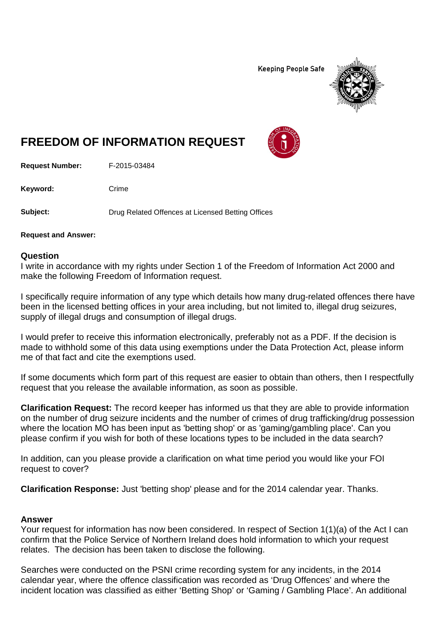**Keeping People Safe** 



## **FREEDOM OF INFORMATION REQUEST**

**Request Number:** F-2015-03484

Keyword: Crime

**Subject:** Drug Related Offences at Licensed Betting Offices

**Request and Answer:**

## **Question**

I write in accordance with my rights under Section 1 of the Freedom of Information Act 2000 and make the following Freedom of Information request.

I specifically require information of any type which details how many drug-related offences there have been in the licensed betting offices in your area including, but not limited to, illegal drug seizures, supply of illegal drugs and consumption of illegal drugs.

I would prefer to receive this information electronically, preferably not as a PDF. If the decision is made to withhold some of this data using exemptions under the Data Protection Act, please inform me of that fact and cite the exemptions used.

If some documents which form part of this request are easier to obtain than others, then I respectfully request that you release the available information, as soon as possible.

**Clarification Request:** The record keeper has informed us that they are able to provide information on the number of drug seizure incidents and the number of crimes of drug trafficking/drug possession where the location MO has been input as 'betting shop' or as 'gaming/gambling place'. Can you please confirm if you wish for both of these locations types to be included in the data search?

In addition, can you please provide a clarification on what time period you would like your FOI request to cover?

**Clarification Response:** Just 'betting shop' please and for the 2014 calendar year. Thanks.

## **Answer**

Your request for information has now been considered. In respect of Section 1(1)(a) of the Act I can confirm that the Police Service of Northern Ireland does hold information to which your request relates. The decision has been taken to disclose the following.

Searches were conducted on the PSNI crime recording system for any incidents, in the 2014 calendar year, where the offence classification was recorded as 'Drug Offences' and where the incident location was classified as either 'Betting Shop' or 'Gaming / Gambling Place'. An additional